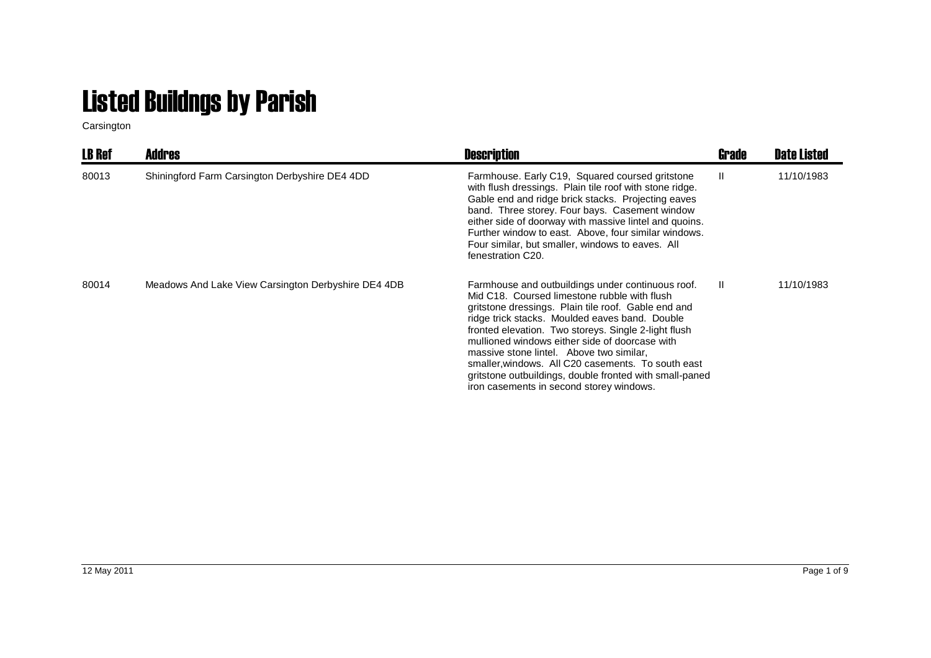## Listed Buildngs by Parish

Carsington

| <b>LB Ref</b> | <b>Addres</b>                                       | <b>Description</b>                                                                                                                                                                                                                                                                                                                                                                                                                                                                                                            | Grade | Date Listed |
|---------------|-----------------------------------------------------|-------------------------------------------------------------------------------------------------------------------------------------------------------------------------------------------------------------------------------------------------------------------------------------------------------------------------------------------------------------------------------------------------------------------------------------------------------------------------------------------------------------------------------|-------|-------------|
| 80013         | Shiningford Farm Carsington Derbyshire DE4 4DD      | Farmhouse. Early C19, Squared coursed gritstone<br>with flush dressings. Plain tile roof with stone ridge.<br>Gable end and ridge brick stacks. Projecting eaves<br>band. Three storey. Four bays. Casement window<br>either side of doorway with massive lintel and quoins.<br>Further window to east. Above, four similar windows.<br>Four similar, but smaller, windows to eaves. All<br>fenestration C20.                                                                                                                 | Ш.    | 11/10/1983  |
| 80014         | Meadows And Lake View Carsington Derbyshire DE4 4DB | Farmhouse and outbuildings under continuous roof.<br>Mid C18. Coursed limestone rubble with flush<br>gritstone dressings. Plain tile roof. Gable end and<br>ridge trick stacks. Moulded eaves band. Double<br>fronted elevation. Two storeys. Single 2-light flush<br>mullioned windows either side of doorcase with<br>massive stone lintel. Above two similar,<br>smaller, windows. All C20 casements. To south east<br>gritstone outbuildings, double fronted with small-paned<br>iron casements in second storey windows. | Ш.    | 11/10/1983  |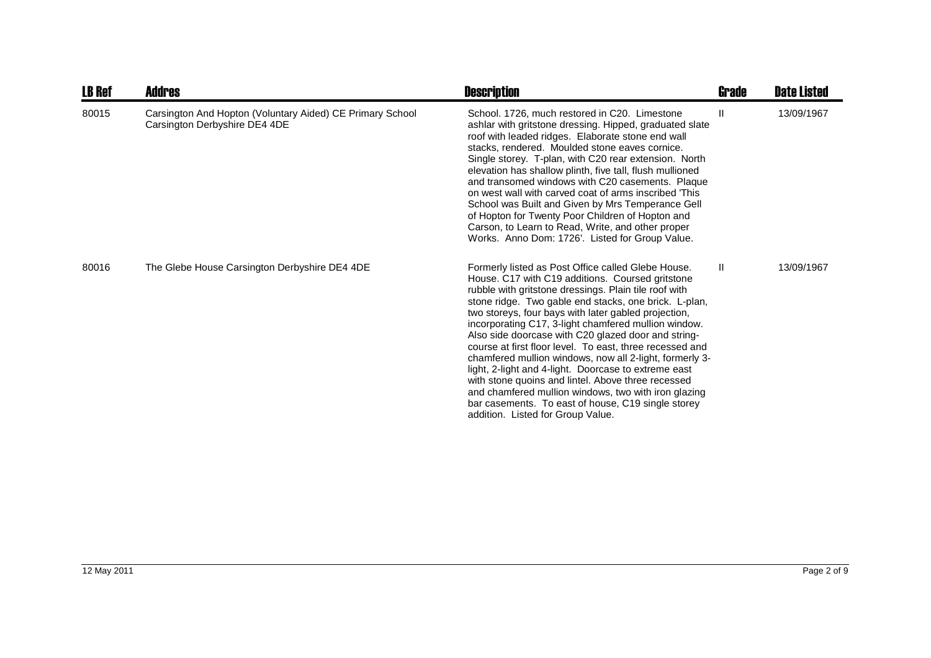| <b>LB Ref</b> | Addres                                                                                     | <b>Description</b>                                                                                                                                                                                                                                                                                                                                                                                                                                                                                                                                                                                                                                                                                                                                                                      | Grade | <b>Date Listed</b> |
|---------------|--------------------------------------------------------------------------------------------|-----------------------------------------------------------------------------------------------------------------------------------------------------------------------------------------------------------------------------------------------------------------------------------------------------------------------------------------------------------------------------------------------------------------------------------------------------------------------------------------------------------------------------------------------------------------------------------------------------------------------------------------------------------------------------------------------------------------------------------------------------------------------------------------|-------|--------------------|
| 80015         | Carsington And Hopton (Voluntary Aided) CE Primary School<br>Carsington Derbyshire DE4 4DE | School. 1726, much restored in C20. Limestone<br>ashlar with gritstone dressing. Hipped, graduated slate<br>roof with leaded ridges. Elaborate stone end wall<br>stacks, rendered. Moulded stone eaves cornice.<br>Single storey. T-plan, with C20 rear extension. North<br>elevation has shallow plinth, five tall, flush mullioned<br>and transomed windows with C20 casements. Plaque<br>on west wall with carved coat of arms inscribed 'This<br>School was Built and Given by Mrs Temperance Gell<br>of Hopton for Twenty Poor Children of Hopton and<br>Carson, to Learn to Read, Write, and other proper<br>Works. Anno Dom: 1726'. Listed for Group Value.                                                                                                                      | Ш     | 13/09/1967         |
| 80016         | The Glebe House Carsington Derbyshire DE4 4DE                                              | Formerly listed as Post Office called Glebe House.<br>House. C17 with C19 additions. Coursed gritstone<br>rubble with gritstone dressings. Plain tile roof with<br>stone ridge. Two gable end stacks, one brick. L-plan,<br>two storeys, four bays with later gabled projection,<br>incorporating C17, 3-light chamfered mullion window.<br>Also side doorcase with C20 glazed door and string-<br>course at first floor level. To east, three recessed and<br>chamfered mullion windows, now all 2-light, formerly 3-<br>light, 2-light and 4-light. Doorcase to extreme east<br>with stone quoins and lintel. Above three recessed<br>and chamfered mullion windows, two with iron glazing<br>bar casements. To east of house, C19 single storey<br>addition. Listed for Group Value. | Ш.    | 13/09/1967         |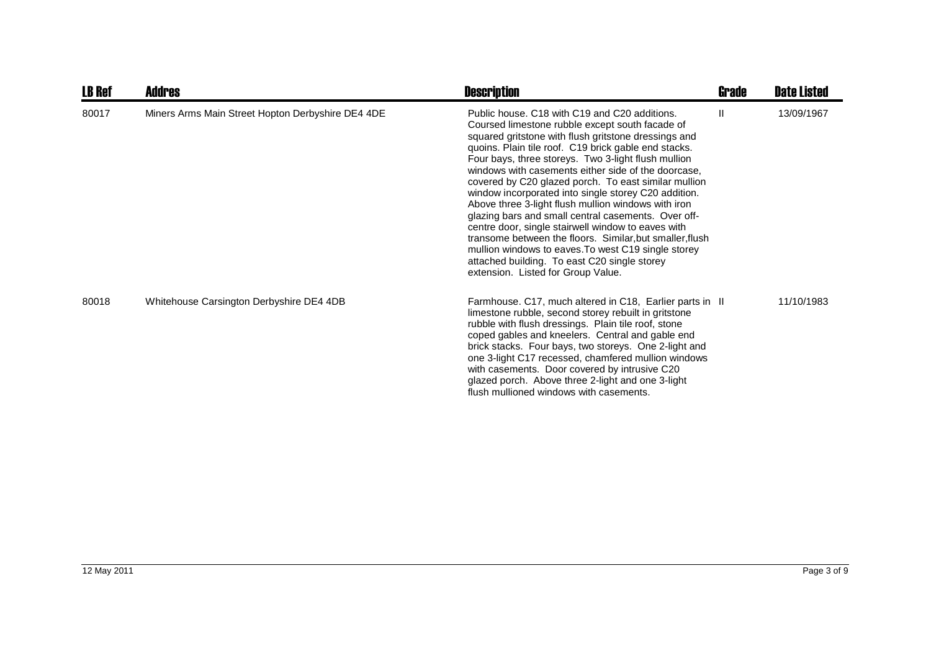| <b>LB Ref</b> | <b>Addres</b>                                     | <b>Description</b>                                                                                                                                                                                                                                                                                                                                                                                                                                                                                                                                                                                                                                                                                                                                                                                                          | <b>Grade</b> | <b>Date Listed</b> |
|---------------|---------------------------------------------------|-----------------------------------------------------------------------------------------------------------------------------------------------------------------------------------------------------------------------------------------------------------------------------------------------------------------------------------------------------------------------------------------------------------------------------------------------------------------------------------------------------------------------------------------------------------------------------------------------------------------------------------------------------------------------------------------------------------------------------------------------------------------------------------------------------------------------------|--------------|--------------------|
| 80017         | Miners Arms Main Street Hopton Derbyshire DE4 4DE | Public house, C18 with C19 and C20 additions.<br>Coursed limestone rubble except south facade of<br>squared gritstone with flush gritstone dressings and<br>quoins. Plain tile roof. C19 brick gable end stacks.<br>Four bays, three storeys. Two 3-light flush mullion<br>windows with casements either side of the doorcase,<br>covered by C20 glazed porch. To east similar mullion<br>window incorporated into single storey C20 addition.<br>Above three 3-light flush mullion windows with iron<br>glazing bars and small central casements. Over off-<br>centre door, single stairwell window to eaves with<br>transome between the floors. Similar, but smaller, flush<br>mullion windows to eaves. To west C19 single storey<br>attached building. To east C20 single storey<br>extension. Listed for Group Value. | Ш            | 13/09/1967         |
| 80018         | Whitehouse Carsington Derbyshire DE4 4DB          | Farmhouse. C17, much altered in C18, Earlier parts in II<br>limestone rubble, second storey rebuilt in gritstone<br>rubble with flush dressings. Plain tile roof, stone<br>coped gables and kneelers. Central and gable end<br>brick stacks. Four bays, two storeys. One 2-light and<br>one 3-light C17 recessed, chamfered mullion windows<br>with casements. Door covered by intrusive C20<br>glazed porch. Above three 2-light and one 3-light<br>flush mullioned windows with casements.                                                                                                                                                                                                                                                                                                                                |              | 11/10/1983         |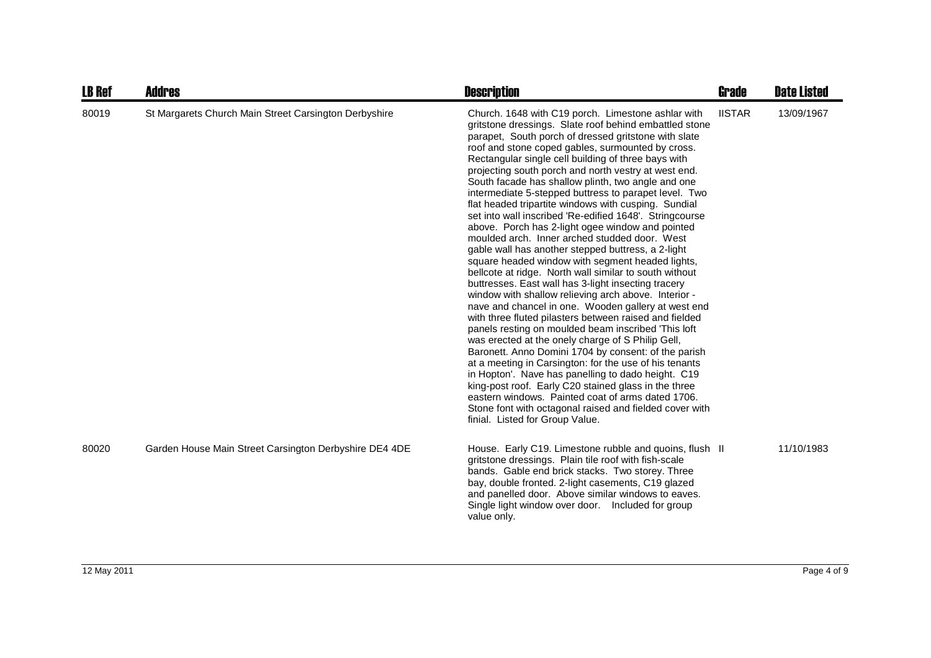| <b>LB Ref</b> | <b>Addres</b>                                          | <b>Description</b>                                                                                                                                                                                                                                                                                                                                                                                                                                                                                                                                                                                                                                                                                                                                                                                                                                                                                                                                                                                                                                                                                                                                                                                                                                                                                                                                                                                                                                                                                                                                                                | <b>Grade</b>  | <b>Date Listed</b> |
|---------------|--------------------------------------------------------|-----------------------------------------------------------------------------------------------------------------------------------------------------------------------------------------------------------------------------------------------------------------------------------------------------------------------------------------------------------------------------------------------------------------------------------------------------------------------------------------------------------------------------------------------------------------------------------------------------------------------------------------------------------------------------------------------------------------------------------------------------------------------------------------------------------------------------------------------------------------------------------------------------------------------------------------------------------------------------------------------------------------------------------------------------------------------------------------------------------------------------------------------------------------------------------------------------------------------------------------------------------------------------------------------------------------------------------------------------------------------------------------------------------------------------------------------------------------------------------------------------------------------------------------------------------------------------------|---------------|--------------------|
| 80019         | St Margarets Church Main Street Carsington Derbyshire  | Church. 1648 with C19 porch. Limestone ashlar with<br>gritstone dressings. Slate roof behind embattled stone<br>parapet, South porch of dressed gritstone with slate<br>roof and stone coped gables, surmounted by cross.<br>Rectangular single cell building of three bays with<br>projecting south porch and north vestry at west end.<br>South facade has shallow plinth, two angle and one<br>intermediate 5-stepped buttress to parapet level. Two<br>flat headed tripartite windows with cusping. Sundial<br>set into wall inscribed 'Re-edified 1648'. Stringcourse<br>above. Porch has 2-light ogee window and pointed<br>moulded arch. Inner arched studded door. West<br>gable wall has another stepped buttress, a 2-light<br>square headed window with segment headed lights,<br>bellcote at ridge. North wall similar to south without<br>buttresses. East wall has 3-light insecting tracery<br>window with shallow relieving arch above. Interior -<br>nave and chancel in one. Wooden gallery at west end<br>with three fluted pilasters between raised and fielded<br>panels resting on moulded beam inscribed This loft<br>was erected at the onely charge of S Philip Gell,<br>Baronett. Anno Domini 1704 by consent: of the parish<br>at a meeting in Carsington: for the use of his tenants<br>in Hopton'. Nave has panelling to dado height. C19<br>king-post roof. Early C20 stained glass in the three<br>eastern windows. Painted coat of arms dated 1706.<br>Stone font with octagonal raised and fielded cover with<br>finial. Listed for Group Value. | <b>IISTAR</b> | 13/09/1967         |
| 80020         | Garden House Main Street Carsington Derbyshire DE4 4DE | House. Early C19. Limestone rubble and quoins, flush II<br>gritstone dressings. Plain tile roof with fish-scale<br>bands. Gable end brick stacks. Two storey. Three<br>bay, double fronted. 2-light casements, C19 glazed<br>and panelled door. Above similar windows to eaves.<br>Single light window over door.  Included for group<br>value only.                                                                                                                                                                                                                                                                                                                                                                                                                                                                                                                                                                                                                                                                                                                                                                                                                                                                                                                                                                                                                                                                                                                                                                                                                              |               | 11/10/1983         |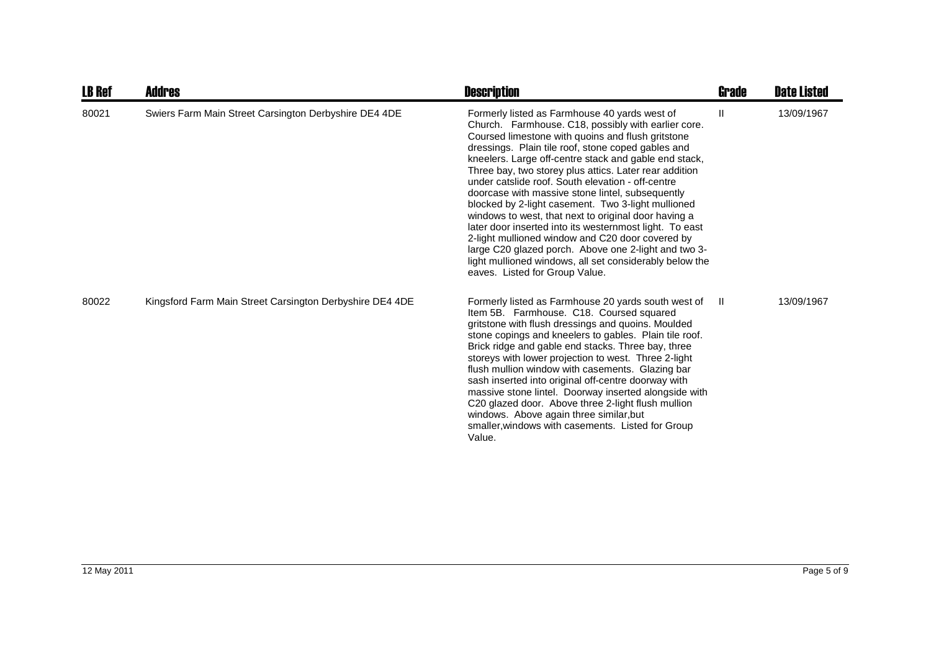| <b>LB Ref</b> | <b>Addres</b>                                            | <b>Description</b>                                                                                                                                                                                                                                                                                                                                                                                                                                                                                                                                                                                                                                                                                                                                                                                                            | <b>Grade</b> | <b>Date Listed</b> |
|---------------|----------------------------------------------------------|-------------------------------------------------------------------------------------------------------------------------------------------------------------------------------------------------------------------------------------------------------------------------------------------------------------------------------------------------------------------------------------------------------------------------------------------------------------------------------------------------------------------------------------------------------------------------------------------------------------------------------------------------------------------------------------------------------------------------------------------------------------------------------------------------------------------------------|--------------|--------------------|
| 80021         | Swiers Farm Main Street Carsington Derbyshire DE4 4DE    | Formerly listed as Farmhouse 40 yards west of<br>Church. Farmhouse. C18, possibly with earlier core.<br>Coursed limestone with quoins and flush gritstone<br>dressings. Plain tile roof, stone coped gables and<br>kneelers. Large off-centre stack and gable end stack,<br>Three bay, two storey plus attics. Later rear addition<br>under catslide roof. South elevation - off-centre<br>doorcase with massive stone lintel, subsequently<br>blocked by 2-light casement. Two 3-light mullioned<br>windows to west, that next to original door having a<br>later door inserted into its westernmost light. To east<br>2-light mullioned window and C20 door covered by<br>large C20 glazed porch. Above one 2-light and two 3-<br>light mullioned windows, all set considerably below the<br>eaves. Listed for Group Value. | Ш            | 13/09/1967         |
| 80022         | Kingsford Farm Main Street Carsington Derbyshire DE4 4DE | Formerly listed as Farmhouse 20 yards south west of<br>Item 5B. Farmhouse. C18. Coursed squared<br>gritstone with flush dressings and quoins. Moulded<br>stone copings and kneelers to gables. Plain tile roof.<br>Brick ridge and gable end stacks. Three bay, three<br>storeys with lower projection to west. Three 2-light<br>flush mullion window with casements. Glazing bar<br>sash inserted into original off-centre doorway with<br>massive stone lintel. Doorway inserted alongside with<br>C20 glazed door. Above three 2-light flush mullion<br>windows. Above again three similar, but<br>smaller, windows with casements. Listed for Group<br>Value.                                                                                                                                                             | $\mathbf{H}$ | 13/09/1967         |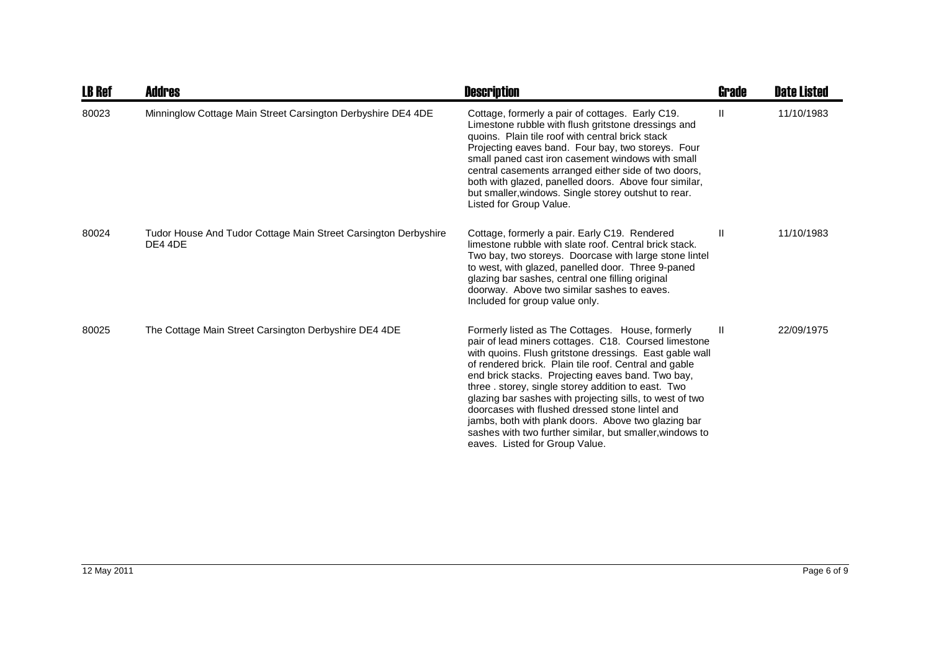| <b>LB Ref</b> | <b>Addres</b>                                                              | <b>Description</b>                                                                                                                                                                                                                                                                                                                                                                                                                                                                                                                                                                                           | Grade        | <b>Date Listed</b> |
|---------------|----------------------------------------------------------------------------|--------------------------------------------------------------------------------------------------------------------------------------------------------------------------------------------------------------------------------------------------------------------------------------------------------------------------------------------------------------------------------------------------------------------------------------------------------------------------------------------------------------------------------------------------------------------------------------------------------------|--------------|--------------------|
| 80023         | Minninglow Cottage Main Street Carsington Derbyshire DE4 4DE               | Cottage, formerly a pair of cottages. Early C19.<br>Limestone rubble with flush gritstone dressings and<br>quoins. Plain tile roof with central brick stack<br>Projecting eaves band. Four bay, two storeys. Four<br>small paned cast iron casement windows with small<br>central casements arranged either side of two doors,<br>both with glazed, panelled doors. Above four similar,<br>but smaller, windows. Single storey outshut to rear.<br>Listed for Group Value.                                                                                                                                   | Ш            | 11/10/1983         |
| 80024         | Tudor House And Tudor Cottage Main Street Carsington Derbyshire<br>DE4 4DE | Cottage, formerly a pair. Early C19. Rendered<br>limestone rubble with slate roof. Central brick stack.<br>Two bay, two storeys. Doorcase with large stone lintel<br>to west, with glazed, panelled door. Three 9-paned<br>glazing bar sashes, central one filling original<br>doorway. Above two similar sashes to eaves.<br>Included for group value only.                                                                                                                                                                                                                                                 | Ш            | 11/10/1983         |
| 80025         | The Cottage Main Street Carsington Derbyshire DE4 4DE                      | Formerly listed as The Cottages. House, formerly<br>pair of lead miners cottages. C18. Coursed limestone<br>with quoins. Flush gritstone dressings. East gable wall<br>of rendered brick. Plain tile roof. Central and gable<br>end brick stacks. Projecting eaves band. Two bay,<br>three . storey, single storey addition to east. Two<br>glazing bar sashes with projecting sills, to west of two<br>doorcases with flushed dressed stone lintel and<br>jambs, both with plank doors. Above two glazing bar<br>sashes with two further similar, but smaller, windows to<br>eaves. Listed for Group Value. | $\mathbf{I}$ | 22/09/1975         |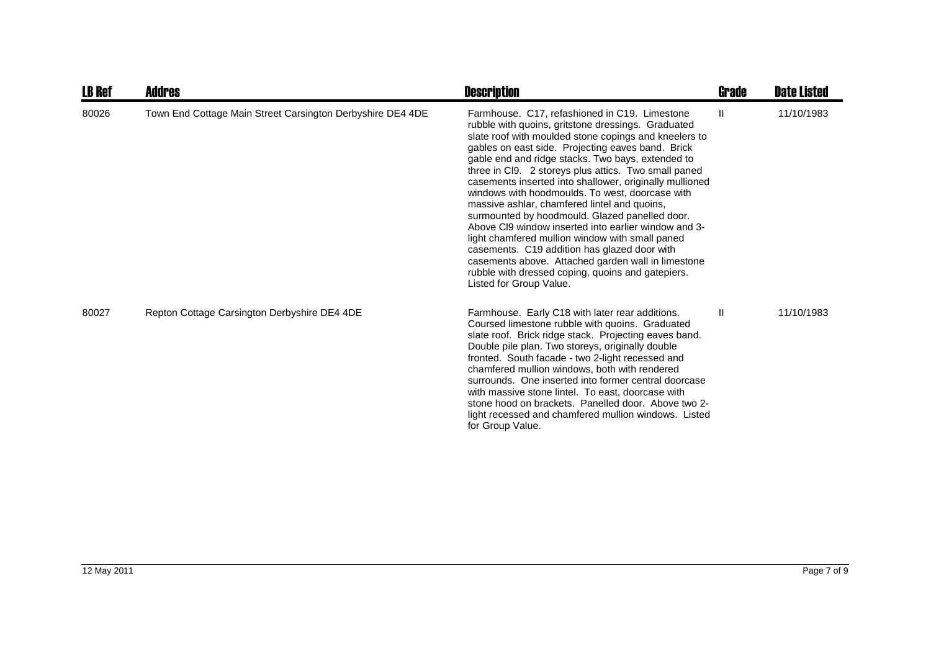| <b>LB Ref</b> | <b>Addres</b>                                              | <b>Description</b>                                                                                                                                                                                                                                                                                                                                                                                                                                                                                                                                                                                                                                                                                                                                                                                                                              | <b>Grade</b> | <b>Date Listed</b> |
|---------------|------------------------------------------------------------|-------------------------------------------------------------------------------------------------------------------------------------------------------------------------------------------------------------------------------------------------------------------------------------------------------------------------------------------------------------------------------------------------------------------------------------------------------------------------------------------------------------------------------------------------------------------------------------------------------------------------------------------------------------------------------------------------------------------------------------------------------------------------------------------------------------------------------------------------|--------------|--------------------|
| 80026         | Town End Cottage Main Street Carsington Derbyshire DE4 4DE | Farmhouse. C17, refashioned in C19. Limestone<br>rubble with quoins, gritstone dressings. Graduated<br>slate roof with moulded stone copings and kneelers to<br>gables on east side. Projecting eaves band. Brick<br>gable end and ridge stacks. Two bays, extended to<br>three in Cl9. 2 storeys plus attics. Two small paned<br>casements inserted into shallower, originally mullioned<br>windows with hoodmoulds. To west, doorcase with<br>massive ashlar, chamfered lintel and quoins,<br>surmounted by hoodmould. Glazed panelled door.<br>Above CI9 window inserted into earlier window and 3-<br>light chamfered mullion window with small paned<br>casements. C19 addition has glazed door with<br>casements above. Attached garden wall in limestone<br>rubble with dressed coping, quoins and gatepiers.<br>Listed for Group Value. | Ш            | 11/10/1983         |
| 80027         | Repton Cottage Carsington Derbyshire DE4 4DE               | Farmhouse. Early C18 with later rear additions.<br>Coursed limestone rubble with quoins. Graduated<br>slate roof. Brick ridge stack. Projecting eaves band.<br>Double pile plan. Two storeys, originally double<br>fronted. South facade - two 2-light recessed and<br>chamfered mullion windows, both with rendered<br>surrounds. One inserted into former central doorcase<br>with massive stone lintel. To east, doorcase with<br>stone hood on brackets. Panelled door. Above two 2-<br>light recessed and chamfered mullion windows. Listed<br>for Group Value.                                                                                                                                                                                                                                                                            | Ш            | 11/10/1983         |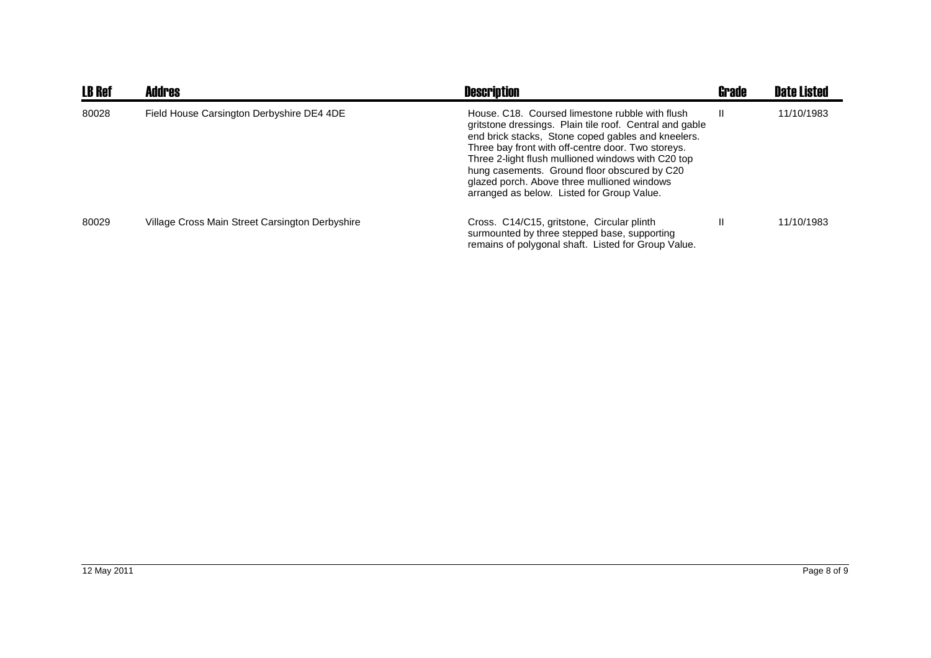| <b>LB Ref</b> | Addres                                          | <b>Description</b>                                                                                                                                                                                                                                                                                                                                                                                                        | <b>Grade</b> | <b>Date Listed</b> |
|---------------|-------------------------------------------------|---------------------------------------------------------------------------------------------------------------------------------------------------------------------------------------------------------------------------------------------------------------------------------------------------------------------------------------------------------------------------------------------------------------------------|--------------|--------------------|
| 80028         | Field House Carsington Derbyshire DE4 4DE       | House, C18. Coursed limestone rubble with flush<br>gritstone dressings. Plain tile roof. Central and gable<br>end brick stacks, Stone coped gables and kneelers.<br>Three bay front with off-centre door. Two storeys.<br>Three 2-light flush mullioned windows with C20 top<br>hung casements. Ground floor obscured by C20<br>glazed porch. Above three mullioned windows<br>arranged as below. Listed for Group Value. | Ш            | 11/10/1983         |
| 80029         | Village Cross Main Street Carsington Derbyshire | Cross. C14/C15, gritstone, Circular plinth<br>surmounted by three stepped base, supporting<br>remains of polygonal shaft. Listed for Group Value.                                                                                                                                                                                                                                                                         | Ш            | 11/10/1983         |